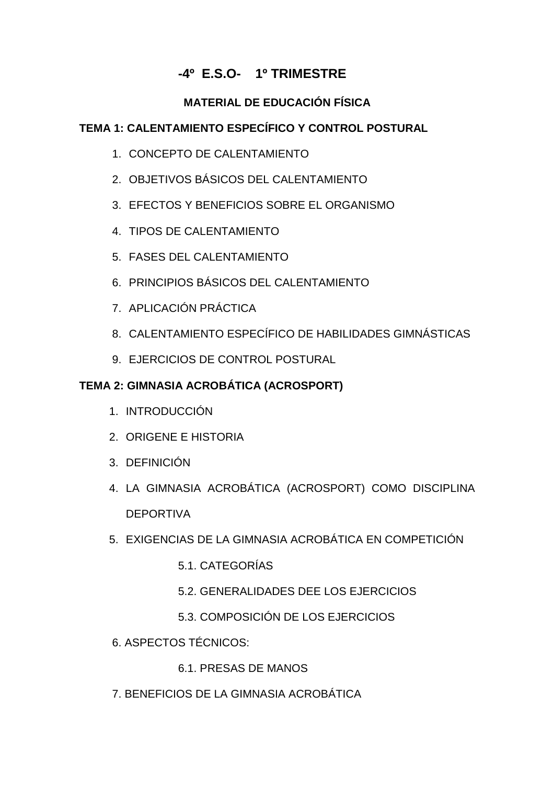# **-4º E.S.O- 1º TRIMESTRE**

## **MATERIAL DE EDUCACIÓN FÍSICA**

### **TEMA 1: CALENTAMIENTO ESPECÍFICO Y CONTROL POSTURAL**

- 1. CONCEPTO DE CALENTAMIENTO
- 2. OBJETIVOS BÁSICOS DEL CALENTAMIENTO
- 3. EFECTOS Y BENEFICIOS SOBRE EL ORGANISMO
- 4. TIPOS DE CALENTAMIENTO
- 5. FASES DEL CALENTAMIENTO
- 6. PRINCIPIOS BÁSICOS DEL CALENTAMIENTO
- 7. APLICACIÓN PRÁCTICA
- 8. CALENTAMIENTO ESPECÍFICO DE HABILIDADES GIMNÁSTICAS
- 9. EJERCICIOS DE CONTROL POSTURAL

### **TEMA 2: GIMNASIA ACROBÁTICA (ACROSPORT)**

- 1. INTRODUCCIÓN
- 2. ORIGENE E HISTORIA
- 3. DEFINICIÓN
- 4. LA GIMNASIA ACROBÁTICA (ACROSPORT) COMO DISCIPLINA **DEPORTIVA**
- 5. EXIGENCIAS DE LA GIMNASIA ACROBÁTICA EN COMPETICIÓN
	- 5.1. CATEGORÍAS
	- 5.2. GENERALIDADES DEE LOS EJERCICIOS
	- 5.3. COMPOSICIÓN DE LOS EJERCICIOS
- 6. ASPECTOS TÉCNICOS:
	- 6.1. PRESAS DE MANOS
- 7. BENEFICIOS DE LA GIMNASIA ACROBÁTICA